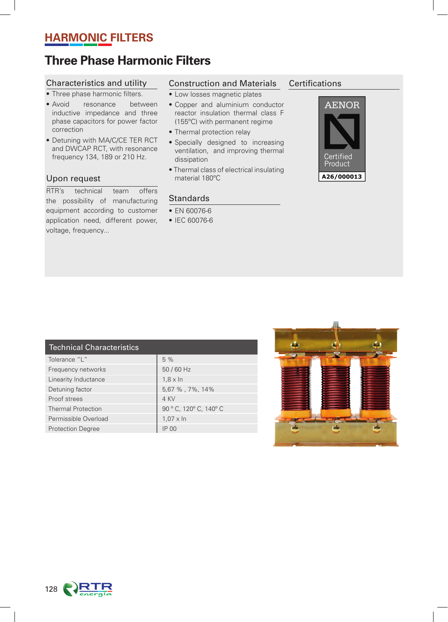## **HARMONIC FILTERS**

# **Three Phase Harmonic Filters**

### Characteristics and utility

- Three phase harmonic filters.
- Avoid resonance between inductive impedance and three phase capacitors for power factor correction
- Detuning with MA/C/CE TER RCT and DWCAP RCT, with resonance frequency 134, 189 or 210 Hz.

#### Upon request

RTR's technical team offers the possibility of manufacturing equipment according to customer application need, different power, voltage, frequency...

### Construction and Materials

- Low losses magnetic plates
- Copper and aluminium conductor reactor insulation thermal class F (155ºC) with permanent regime
- Thermal protection relay
- Specially designed to increasing ventilation, and improving thermal dissipation
- Thermal class of electrical insulating material 180ºC

#### **Standards**

- EN 60076-6
- IEC 60076-6

#### **Certifications**



| <b>Technical Characteristics</b> |                        |
|----------------------------------|------------------------|
| Tolerance "L"                    | 5%                     |
| Frequency networks               | 50 / 60 Hz             |
| Linearity Inductance             | $1.8 \times \ln$       |
| Detuning factor                  | 5,67 %, 7%, 14%        |
| Proof strees                     | 4 KV                   |
| <b>Thermal Protection</b>        | 90 ° C, 120 °C, 140 °C |
| Permissible Overload             | $1.07 \times \ln$      |
| <b>Protection Degree</b>         | IP 00                  |